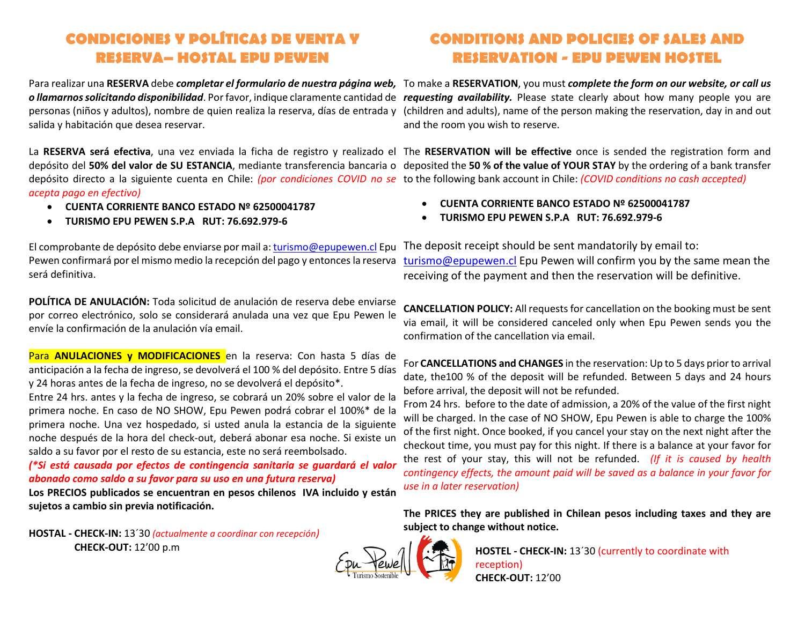## **CONDICIONES Y POLÍTICAS DE VENTA Y RESERVA– HOSTAL EPU PEWEN**

o llamarnos solicitando disponibilidad. Por favor, indique claramente cantidad de requesting availability. Please state clearly about how many people you are salida y habitación que desea reservar.

La RESERVA será efectiva, una vez enviada la ficha de registro y realizado el The RESERVATION will be effective once is sended the registration form and depósito del 50% del valor de SU ESTANCIA, mediante transferencia bancaria o deposited the 50 % of the value of YOUR STAY by the ordering of a bank transfer depósito directo a la siguiente cuenta en Chile: *(por condiciones COVID no se*  to the following bank account in Chile: *(COVID conditions no cash accepted) acepta pago en efectivo)*

- **CUENTA CORRIENTE BANCO ESTADO Nº 62500041787**
- **TURISMO EPU PEWEN S.P.A RUT: 76.692.979-6**

El comprobante de depósito debe enviarse por mail a: turismo@epupewen.cl Epu Pewen confirmará por el mismo medio la recepción del pago y entonces la reserva será definitiva.

**POLÍTICA DE ANULACIÓN:** Toda solicitud de anulación de reserva debe enviarse por correo electrónico, solo se considerará anulada una vez que Epu Pewen le envíe la confirmación de la anulación vía email.

Para **ANULACIONES y MODIFICACIONES** en la reserva: Con hasta 5 días de anticipación a la fecha de ingreso, se devolverá el 100 % del depósito. Entre 5 días y 24 horas antes de la fecha de ingreso, no se devolverá el depósito\*.

Entre 24 hrs. antes y la fecha de ingreso, se cobrará un 20% sobre el valor de la primera noche. En caso de NO SHOW, Epu Pewen podrá cobrar el 100%\* de la primera noche. Una vez hospedado, si usted anula la estancia de la siguiente noche después de la hora del check-out, deberá abonar esa noche. Si existe un saldo a su favor por el resto de su estancia, este no será reembolsado.

*(\*Si está causada por efectos de contingencia sanitaria se guardará el valor abonado como saldo a su favor para su uso en una futura reserva)*

**Los PRECIOS publicados se encuentran en pesos chilenos IVA incluido y están sujetos a cambio sin previa notificación.** 

**HOSTAL - CHECK-IN:** 13´30 *(actualmente a coordinar con recepción)* **CHECK-OUT:** 12'00 p.m

## **CONDITIONS AND POLICIES OF SALES AND RESERVATION - EPU PEWEN HOSTEL**

Para realizar una RESERVA debe *completar el formulario de nuestra página web*, To make a RESERVATION, you must *complete the form on our website, or call us* personas (niños y adultos), nombre de quien realiza la reserva, días de entrada y (children and adults), name of the person making the reservation, day in and out and the room you wish to reserve.

- **CUENTA CORRIENTE BANCO ESTADO Nº 62500041787**
- **TURISMO EPU PEWEN S.P.A RUT: 76.692.979-6**

The deposit receipt should be sent mandatorily by email to: [turismo@epupewen.cl](mailto:turismo@epupewen.cl) Epu Pewen will confirm you by the same mean the receiving of the payment and then the reservation will be definitive.

**CANCELLATION POLICY:** All requests for cancellation on the booking must be sent via email, it will be considered canceled only when Epu Pewen sends you the confirmation of the cancellation via email.

For **CANCELLATIONS and CHANGES** in the reservation: Up to 5 days prior to arrival date, the100 % of the deposit will be refunded. Between 5 days and 24 hours before arrival, the deposit will not be refunded.

From 24 hrs. before to the date of admission, a 20% of the value of the first night will be charged. In the case of NO SHOW, Epu Pewen is able to charge the 100% of the first night. Once booked, if you cancel your stay on the next night after the checkout time, you must pay for this night. If there is a balance at your favor for the rest of your stay, this will not be refunded. *(If it is caused by health contingency effects, the amount paid will be saved as a balance in your favor for use in a later reservation)*

**The PRICES they are published in Chilean pesos including taxes and they are subject to change without notice.**

**HOSTEL - CHECK-IN:** 13´30 (currently to coordinate with reception) **CHECK-OUT:** 12'00